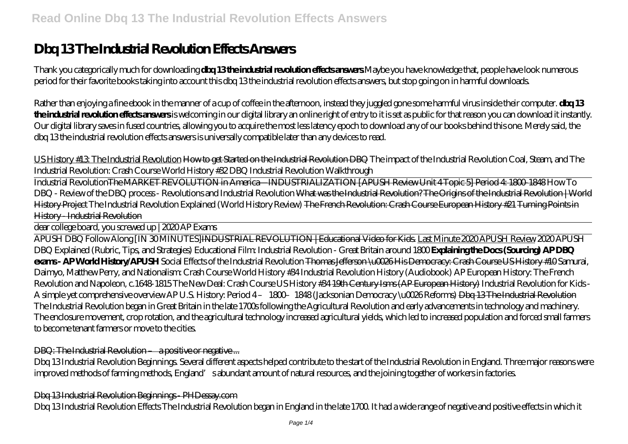# **Dbq 13 The Industrial Revolution Effects Answers**

Thank you categorically much for downloading **dbq 13 the industrial revolution effects answers**.Maybe you have knowledge that, people have look numerous period for their favorite books taking into account this dbq 13 the industrial revolution effects answers, but stop going on in harmful downloads.

Rather than enjoying a fine ebook in the manner of a cup of coffee in the afternoon, instead they juggled gone some harmful virus inside their computer. **dbq 13 the industrial revolution effects answers** is welcoming in our digital library an online right of entry to it is set as public for that reason you can download it instantly. Our digital library saves in fused countries, allowing you to acquire the most less latency epoch to download any of our books behind this one. Merely said, the dbq 13 the industrial revolution effects answers is universally compatible later than any devices to read.

US History #13: The Industrial Revolution How to get Started on the Industrial Revolution DBQ *The impact of the Industrial Revolution Coal, Steam, and The Industrial Revolution: Crash Course World History #32 DBQ Industrial Revolution Walkthrough*

Industrial RevolutionThe MARKET REVOLUTION in America—INDUSTRIALIZATION [APUSH Review Unit 4 Topic 5] Period 4: 1800-1848 *How To DBQ - Review of the DBQ process - Revolutions and Industrial Revolution* What was the Industrial Revolution? The Origins of the Industrial Revolution | World History Project The Industrial Revolution Explained (World History Review) The French Revolution: Crash Course European History #21 Turning Points in History - Industrial Revolution

dear college board, you screwed up | 2020 AP Exams

APUSH DBQ Follow Along [IN 30 MINUTES]INDUSTRIAL REVOLUTION | Educational Video for Kids. Last Minute 2020 APUSH Review *2020 APUSH DBQ Explained (Rubric, Tips, and Strategies)* Educational Film: Industrial Revolution - Great Britain around 1800 **Explaining the Docs (Sourcing) AP DBQ exams - AP World History/APUSH** *Social Effects of the Industrial Revolution* Thomas Jefferson \u0026 His Democracy: Crash Course US History #10 *Samurai, Daimyo, Matthew Perry, and Nationalism: Crash Course World History #34 Industrial Revolution History (Audiobook) AP European History: The French Revolution and Napoleon, c.1648-1815 The New Deal: Crash Course US History #34* 19th Century Isms (AP European History) *Industrial Revolution for Kids - A simple yet comprehensive overview* AP U.S. History: Period 4 – 1800–1848 (Jacksonian Democracy \u0026 Reforms) Dbq 13 The Industrial Revolution The Industrial Revolution began in Great Britain in the late 1700s following the Agricultural Revolution and early advancements in technology and machinery. The enclosure movement, crop rotation, and the agricultural technology increased agricultural yields, which led to increased population and forced small farmers to become tenant farmers or move to the cities.

# DBQ: The Industrial Revolution – a positive or negative ...

Dbq 13 Industrial Revolution Beginnings. Several different aspects helped contribute to the start of the Industrial Revolution in England. Three major reasons were improved methods of farming methods, England's abundant amount of natural resources, and the joining together of workers in factories.

# Dbq 13 Industrial Revolution Beginnings - PHDessay.com

Dbq 13 Industrial Revolution Effects The Industrial Revolution began in England in the late 1700. It had a wide range of negative and positive effects in which it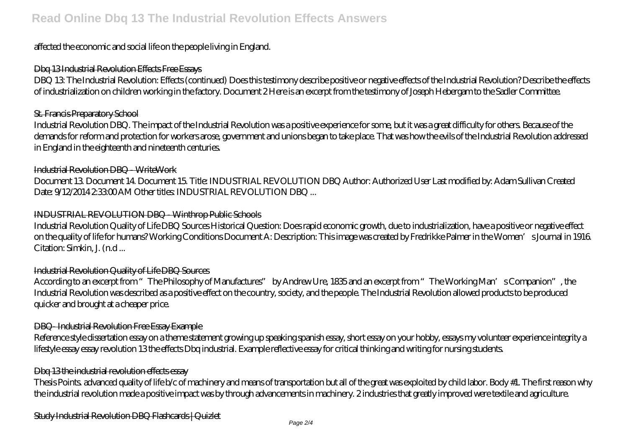# **Read Online Dbq 13 The Industrial Revolution Effects Answers**

# affected the economic and social life on the people living in England.

# Dbq 13 Industrial Revolution Effects Free Essays

DBQ 13: The Industrial Revolution: Effects (continued) Does this testimony describe positive or negative effects of the Industrial Revolution? Describe the effects of industrialization on children working in the factory. Document 2 Here is an excerpt from the testimony of Joseph Hebergam to the Sadler Committee.

#### St. Francis Preparatory School

Industrial Revolution DBQ. The impact of the Industrial Revolution was a positive experience for some, but it was a great difficulty for others. Because of the demands for reform and protection for workers arose, government and unions began to take place. That was how the evils of the Industrial Revolution addressed in England in the eighteenth and nineteenth centuries.

#### Industrial Revolution DBQ - WriteWork

Document 13. Document 14. Document 15. Title: INDUSTRIAL REVOLUTION DBQ Author: Authorized User Last modified by: Adam Sullivan Created Date:  $9/12/201423300$ AM Other titles: INDUSTRIAL REVOLUTION DBQ ...

# INDUSTRIAL REVOLUTION DBQ - Winthrop Public Schools

Industrial Revolution Quality of Life DBQ Sources Historical Question: Does rapid economic growth, due to industrialization, have a positive or negative effect on the quality of life for humans? Working Conditions Document A: Description: This image was created by Fredrikke Palmer in the Women's Journal in 1916. Citation: Simkin, J. (n.d ...

# Industrial Revolution Quality of Life DBQ Sources

According to an excerpt from "The Philosophy of Manufactures" by Andrew Ure, 1835 and an excerpt from "The Working Man's Companion", the Industrial Revolution was described as a positive effect on the country, society, and the people. The Industrial Revolution allowed products to be produced quicker and brought at a cheaper price.

# DBQ- Industrial Revolution Free Essay Example

Reference style dissertation essay on a theme statement growing up speaking spanish essay, short essay on your hobby, essays my volunteer experience integrity a lifestyle essay essay revolution 13 the effects Dbq industrial. Example reflective essay for critical thinking and writing for nursing students.

#### Dbq 13 the industrial revolution effects essay

Thesis Points. advanced quality of life b/c of machinery and means of transportation but all of the great was exploited by child labor. Body #1. The first reason why the industrial revolution made a positive impact was by through advancements in machinery. 2 industries that greatly improved were textile and agriculture.

Study Industrial Revolution DBQ Flashcards | Quizlet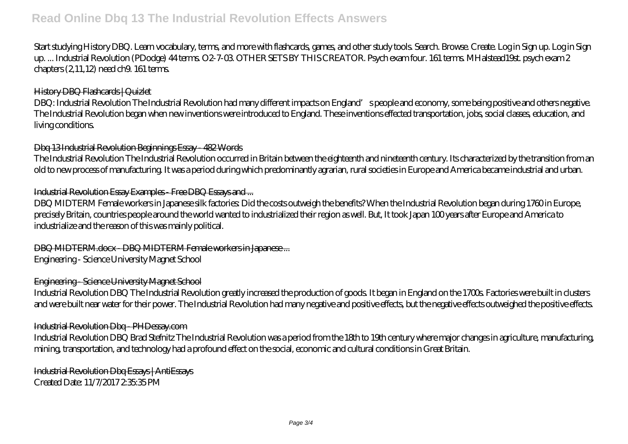# **Read Online Dbq 13 The Industrial Revolution Effects Answers**

Start studying History DBQ. Learn vocabulary, terms, and more with flashcards, games, and other study tools. Search. Browse. Create. Log in Sign up. Log in Sign up. ... Industrial Revolution (PDodge) 44 terms. O2-7-03. OTHER SETS BY THIS CREATOR. Psych exam four. 161 terms. MHalstead19st. psych exam 2 chapters (2,11,12) need ch9. 161 terms.

# History DBQ Flashcards | Quizlet

DBQ: Industrial Revolution The Industrial Revolution had many different impacts on England's people and economy, some being positive and others negative. The Industrial Revolution began when new inventions were introduced to England. These inventions effected transportation, jobs, social classes, education, and living conditions.

#### Dbq 13 Industrial Revolution Beginnings Essay - 482 Words

The Industrial Revolution The Industrial Revolution occurred in Britain between the eighteenth and nineteenth century. Its characterized by the transition from an old to new process of manufacturing. It was a period during which predominantly agrarian, rural societies in Europe and America became industrial and urban.

#### Industrial Revolution Essay Examples - Free DBQ Essays and ...

DBQ MIDTERM Female workers in Japanese silk factories: Did the costs outweigh the benefits? When the Industrial Revolution began during 1760 in Europe, precisely Britain, countries people around the world wanted to industrialized their region as well. But, It took Japan 100 years after Europe and America to industrialize and the reason of this was mainly political.

DBQ MIDTERM.docx - DBQ MIDTERM Female workers in Japanese ... Engineering - Science University Magnet School

#### Engineering - Science University Magnet School

Industrial Revolution DBQ The Industrial Revolution greatly increased the production of goods. It began in England on the 1700s. Factories were built in clusters and were built near water for their power. The Industrial Revolution had many negative and positive effects, but the negative effects outweighed the positive effects.

#### Industrial Revolution Dbq - PHDessay.com

Industrial Revolution DBQ Brad Stefnitz The Industrial Revolution was a period from the 18th to 19th century where major changes in agriculture, manufacturing, mining, transportation, and technology had a profound effect on the social, economic and cultural conditions in Great Britain.

Industrial Revolution Dbq Essays | AntiEssays Created Date: 11/7/2017 2:35:35 PM